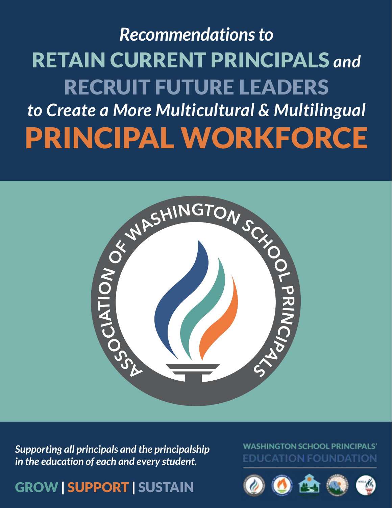# *Recommendations to* RETAIN CURRENT PRINCIPALS *and*  RECRUIT FUTURE LEADERS *to Create a More Multicultural & Multilingual* PRINCIPAL WORKFORCE



*Supporting all principals and the principalship in the education of each and every student.*

GROW | SUPPORT | SUSTAIN

### **WASHINGTON SCHOOL PRINCIPALS** EDUCATION FOUNDATION

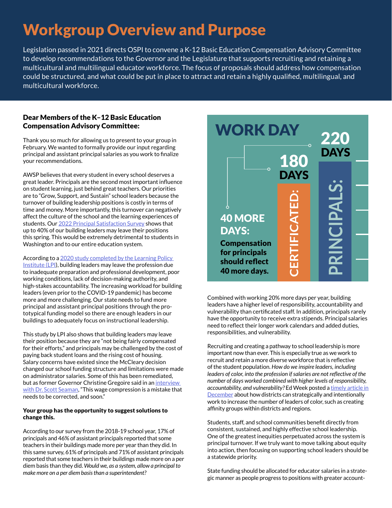# Workgroup Overview and Purpose

Legislation passed in 2021 directs OSPI to convene a K-12 Basic Education Compensation Advisory Committee to develop recommendations to the Governor and the Legislature that supports recruiting and retaining a multicultural and multilingual educator workforce. The focus of proposals should address how compensation could be structured, and what could be put in place to attract and retain a highly qualified, multilingual, and multicultural workforce.

#### Dear Members of the K–12 Basic Education Compensation Advisory Committee:

Thank you so much for allowing us to present to your group in February. We wanted to formally provide our input regarding principal and assistant principal salaries as you work to finalize your recommendations.

AWSP believes that every student in every school deserves a great leader. Principals are the second most important influence on student learning, just behind great teachers. Our priorities are to "Grow, Support, and Sustain" school leaders because the turnover of building leadership positions is costly in terms of time and money. More importantly, this turnover can negatively affect the culture of the school and the learning experiences of students. Our [2022 Principal Satisfaction Survey](https://awsp.org/member-support/resources/2022-principal-satisfaction-survey-results) shows that up to 40% of our building leaders may leave their positions this spring. This would be extremely detrimental to students in Washington and to our entire education system.

According to a [2020 study completed by the Learning Policy](https://learningpolicyinstitute.org/product/supporting-strong-stable-principal-workforce-report)  [Institute \(LPI](https://learningpolicyinstitute.org/product/supporting-strong-stable-principal-workforce-report)), building leaders may leave the profession due to inadequate preparation and professional development, poor working conditions, lack of decision-making authority, and high-stakes accountability. The increasing workload for building leaders (even prior to the COVID-19 pandemic) has become more and more challenging. Our state needs to fund more principal and assistant principal positions through the prototypical funding model so there are enough leaders in our buildings to adequately focus on instructional leadership.

This study by LPI also shows that building leaders may leave their position because they are "not being fairly compensated for their efforts," and principals may be challenged by the cost of paying back student loans and the rising cost of housing. Salary concerns have existed since the McCleary decision changed our school funding structure and limitations were made on administrator salaries. Some of this has been remediated, but as former Governor Christine Gregoire said in an interview [with Dr. Scott Seaman](https://www.youtube.com/watch?v=rAyqaDHAoJ4), "This wage compression is a mistake that needs to be corrected, and soon."

#### Your group has the opportunity to suggest solutions to change this.

According to our survey from the 2018-19 school year, 17% of principals and 46% of assistant principals reported that some teachers in their buildings made more per year than they did. In this same survey, 61% of principals and 71% of assistant principals reported that some teachers in their buildings made more on a per diem basis than they did. *Would we, as a system, allow a principal to make more on a per diem basis than a superintendent?*



Combined with working 20% more days per year, building leaders have a higher level of responsibility, accountability and vulnerability than certificated staff. In addition, principals rarely have the opportunity to receive extra stipends. Principal salaries need to reflect their longer work calendars and added duties, responsibilities, and vulnerability.

Recruiting and creating a pathway to school leadership is more important now than ever. This is especially true as we work to recruit and retain a more diverse workforce that is reflective of the student population. *How do we inspire leaders, including leaders of color, into the profession if salaries are not reflective of the number of days worked combined with higher levels of responsibility, accountability, and vulnerability?* Ed Week posted a [timely article in](https://www.edweek.org/leadership/principals-of-color-are-scarce-heres-what-districts-are-doing-about-it/2021/12)  [December](https://www.edweek.org/leadership/principals-of-color-are-scarce-heres-what-districts-are-doing-about-it/2021/12) about how districts can strategically and intentionally work to increase the number of leaders of color, such as creating affinity groups within districts and regions.

Students, staff, and school communities benefit directly from consistent, sustained, and highly effective school leadership. One of the greatest inequities perpetuated across the system is principal turnover. If we truly want to move talking about equity into action, then focusing on supporting school leaders should be a statewide priority.

State funding should be allocated for educator salaries in a strategic manner as people progress to positions with greater account-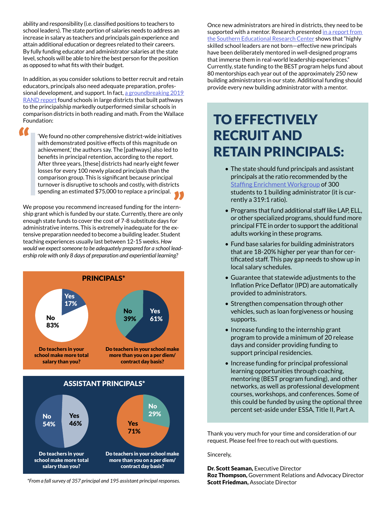ability and responsibility (i.e. classified positions to teachers to school leaders). The state portion of salaries needs to address an increase in salary as teachers and principals gain experience and attain additional education or degrees related to their careers. By fully funding educator and administrator salaries at the state level, schools will be able to hire the best person for the position as opposed to what fits with their budget.

In addition, as you consider solutions to better recruit and retain educators, principals also need adequate preparation, professional development, and support. In fact, [a groundbreaking 2019](https://www.wallacefoundation.org/knowledge-center/pages/principal-pipelines-a-feasible,-affordable,-and-effective-way-for-districts-to-improve-schools.aspx)  [RAND report](https://www.wallacefoundation.org/knowledge-center/pages/principal-pipelines-a-feasible,-affordable,-and-effective-way-for-districts-to-improve-schools.aspx) found schools in large districts that built pathways to the principalship markedly outperformed similar schools in comparison districts in both reading and math. From the Wallace Foundation:

A

'We found no other comprehensive district-wide initiatives with demonstrated positive effects of this magnitude on achievement,' the authors say. The [pathways] also led to benefits in principal retention, according to the report. After three years, [these] districts had nearly eight fewer losses for every 100 newly placed principals than the comparison group. This is significant because principal turnover is disruptive to schools and costly, with districts spending an estimated \$75,000 to replace a principal.

We propose you recommend increased funding for the internship grant which is funded by our state. Currently, there are only enough state funds to cover the cost of 7-8 substitute days for administrative interns. This is extremely inadequate for the extensive preparation needed to become a building leader. Student teaching experiences usually last between 12-15 weeks. *How would we expect someone to be adequately prepared for a school leadership role with only 8 days of preparation and experiential learning?*





*\*From a fall survey of 357 principal and 195 assistant principal responses.*

Once new administrators are hired in districts, they need to be supported with a mentor. Research presented in a report from [the Southern Educational Research Center](https://www.wallacefoundation.org/knowledge-center/Documents/Good-Principals-Arent-Born-Theyre-Mentored.pdf) shows that "highly skilled school leaders are not born—effective new principals have been deliberately mentored in well-designed programs that immerse them in real-world leadership experiences." Currently, state funding to the BEST program helps fund about 80 mentorships each year out of the approximately 250 new building administrators in our state. Additional funding should provide every new building administrator with a mentor.

## TO EFFECTIVELY RECRUIT AND RETAIN PRINCIPALS:

- The state should fund principals and assistant principals at the ratio recommended by the [Staffing Enrichment Workgroup](https://www.k12.wa.us/sites/default/files/public/communications/2019-12-Staffing-Enrichment-Workgroup.pdf) of 300 students to 1 building administrator (it is currently a 319:1 ratio).
- Programs that fund additional staff like LAP, ELL, or other specialized programs, should fund more principal FTE in order to support the additional adults working in these programs.
- Fund base salaries for building administrators that are 18-20% higher per year than for certificated staff. This pay gap needs to show up in local salary schedules.
- Guarantee that statewide adjustments to the Inflation Price Deflator (IPD) are automatically provided to administrators.
- Strengthen compensation through other vehicles, such as loan forgiveness or housing supports.
- Increase funding to the internship grant program to provide a minimum of 20 release days and consider providing funding to support principal residencies.
- Increase funding for principal professional learning opportunities through coaching, mentoring (BEST program funding), and other networks, as well as professional development courses, workshops, and conferences. Some of this could be funded by using the optional three percent set-aside under ESSA, Title II, Part A.

Thank you very much for your time and consideration of our request. Please feel free to reach out with questions.

Sincerely,

Dr. Scott Seaman, Executive Director Roz Thompson, Government Relations and Advocacy Director Scott Friedman, Associate Director